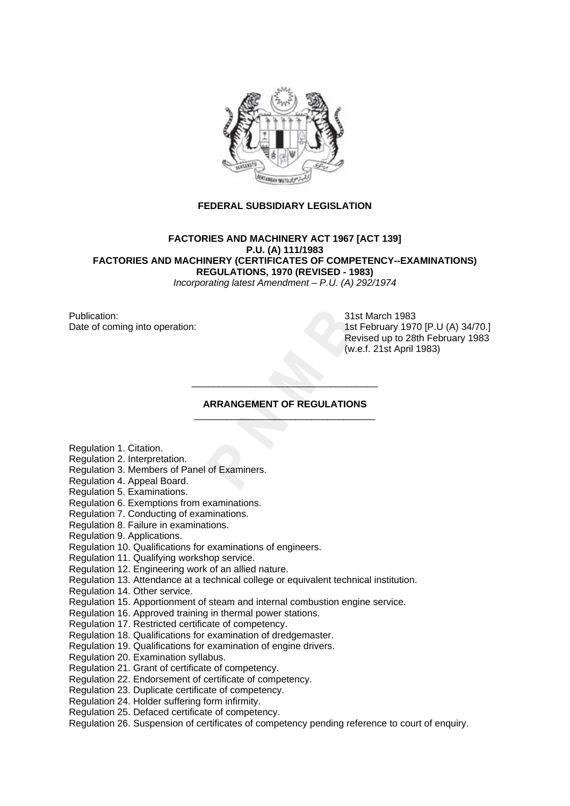

# **FEDERAL SUBSIDIARY LEGISLATION**

**FACTORIES AND MACHINERY ACT 1967 [ACT 139] P.U. (A) 111/1983 FACTORIES AND MACHINERY (CERTIFICATES OF COMPETENCY--EXAMINATIONS) REGULATIONS, 1970 (REVISED - 1983)** 

*Incorporating latest Amendment – P.U. (A) 292/1974* 

Publication: 31st March 1983

Date of coming into operation: 1st February 1970 [P.U (A) 34/70.] Revised up to 28th February 1983 (w.e.f. 21st April 1983)

#### **ARRANGEMENT OF REGULATIONS**  \_\_\_\_\_\_\_\_\_\_\_\_\_\_\_\_\_\_\_\_\_\_\_\_\_\_\_\_\_\_\_\_\_\_

\_\_\_\_\_\_\_\_\_\_\_\_\_\_\_\_\_\_\_\_\_\_\_\_\_\_\_\_\_\_\_\_\_\_\_

Regulation 1. Citation.

- Regulation 2. Interpretation.
- Regulation 3. Members of Panel of Examiners.
- Regulation 4. Appeal Board.
- Regulation 5. Examinations.
- Regulation 6. Exemptions from examinations.
- Regulation 7. Conducting of examinations.
- Regulation 8. Failure in examinations.
- Regulation 9. Applications.
- Regulation 10. Qualifications for examinations of engineers.
- Regulation 11. Qualifying workshop service.
- Regulation 12. Engineering work of an allied nature.
- Regulation 13. Attendance at a technical college or equivalent technical institution.
- Regulation 14. Other service.
- Regulation 15. Apportionment of steam and internal combustion engine service.
- Regulation 16. Approved training in thermal power stations.
- Regulation 17. Restricted certificate of competency.
- Regulation 18. Qualifications for examination of dredgemaster.
- Regulation 19. Qualifications for examination of engine drivers.
- Regulation 20. Examination syllabus.
- Regulation 21. Grant of certificate of competency.
- Regulation 22. Endorsement of certificate of competency.
- Regulation 23. Duplicate certificate of competency.
- Regulation 24. Holder suffering form infirmity.
- Regulation 25. Defaced certificate of competency.
- Regulation 26. Suspension of certificates of competency pending reference to court of enquiry.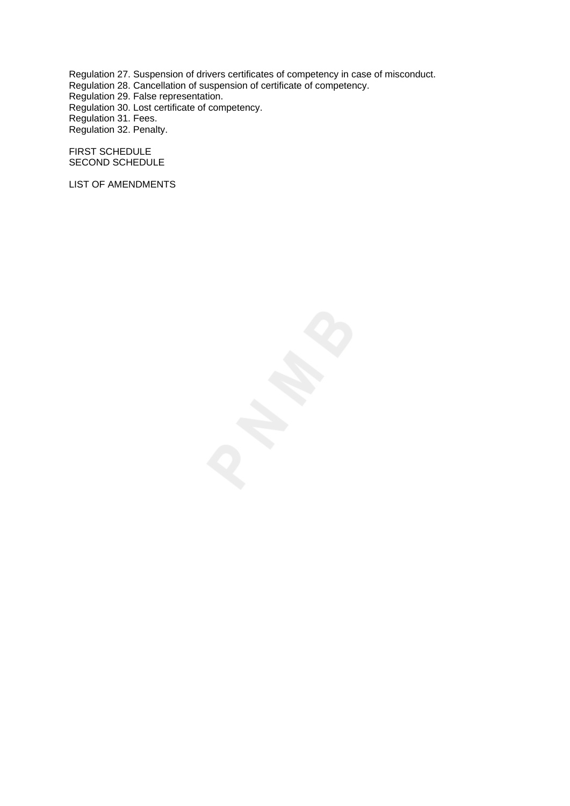Regulation 27. Suspension of drivers certificates of competency in case of misconduct.

Regulation 28. Cancellation of suspension of certificate of competency.

Regulation 29. False representation.

Regulation 30. Lost certificate of competency.

Regulation 31. Fees.

Regulation 32. Penalty.

FIRST SCHEDULE SECOND SCHEDULE

LIST OF AMENDMENTS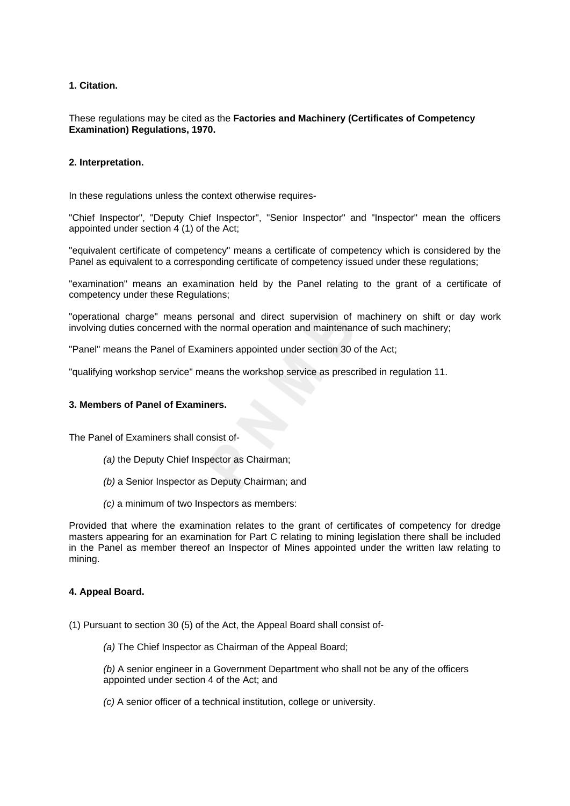# **1. Citation.**

## These regulations may be cited as the **Factories and Machinery (Certificates of Competency Examination) Regulations, 1970.**

# **2. Interpretation.**

In these regulations unless the context otherwise requires-

"Chief Inspector", "Deputy Chief Inspector", "Senior Inspector" and "Inspector" mean the officers appointed under section 4 (1) of the Act;

"equivalent certificate of competency" means a certificate of competency which is considered by the Panel as equivalent to a corresponding certificate of competency issued under these regulations;

"examination" means an examination held by the Panel relating to the grant of a certificate of competency under these Regulations;

"operational charge" means personal and direct supervision of machinery on shift or day work involving duties concerned with the normal operation and maintenance of such machinery;

"Panel" means the Panel of Examiners appointed under section 30 of the Act;

"qualifying workshop service" means the workshop service as prescribed in regulation 11.

## **3. Members of Panel of Examiners.**

The Panel of Examiners shall consist of-

- *(a)* the Deputy Chief Inspector as Chairman;
- *(b)* a Senior Inspector as Deputy Chairman; and
- *(c)* a minimum of two Inspectors as members:

Provided that where the examination relates to the grant of certificates of competency for dredge masters appearing for an examination for Part C relating to mining legislation there shall be included in the Panel as member thereof an Inspector of Mines appointed under the written law relating to mining.

## **4. Appeal Board.**

- (1) Pursuant to section 30 (5) of the Act, the Appeal Board shall consist of-
	- *(a)* The Chief Inspector as Chairman of the Appeal Board;

*(b)* A senior engineer in a Government Department who shall not be any of the officers appointed under section 4 of the Act; and

*(c)* A senior officer of a technical institution, college or university.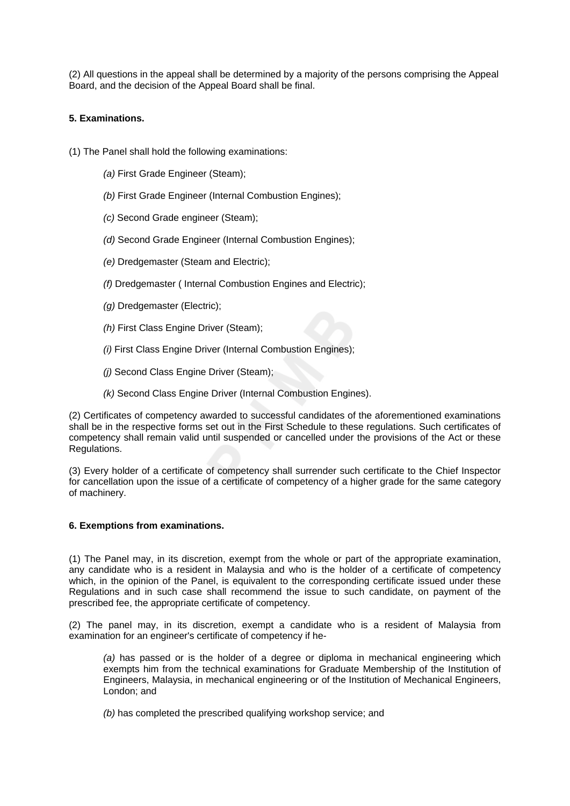(2) All questions in the appeal shall be determined by a majority of the persons comprising the Appeal Board, and the decision of the Appeal Board shall be final.

# **5. Examinations.**

- (1) The Panel shall hold the following examinations:
	- *(a)* First Grade Engineer (Steam);
	- *(b)* First Grade Engineer (Internal Combustion Engines);
	- *(c)* Second Grade engineer (Steam);
	- *(d)* Second Grade Engineer (Internal Combustion Engines);
	- *(e)* Dredgemaster (Steam and Electric);
	- *(f)* Dredgemaster ( Internal Combustion Engines and Electric);
	- *(g)* Dredgemaster (Electric);
	- *(h)* First Class Engine Driver (Steam);
	- *(i)* First Class Engine Driver (Internal Combustion Engines);
	- *(j)* Second Class Engine Driver (Steam);
	- *(k)* Second Class Engine Driver (Internal Combustion Engines).

(2) Certificates of competency awarded to successful candidates of the aforementioned examinations shall be in the respective forms set out in the First Schedule to these regulations. Such certificates of competency shall remain valid until suspended or cancelled under the provisions of the Act or these Regulations.

(3) Every holder of a certificate of competency shall surrender such certificate to the Chief Inspector for cancellation upon the issue of a certificate of competency of a higher grade for the same category of machinery.

## **6. Exemptions from examinations.**

(1) The Panel may, in its discretion, exempt from the whole or part of the appropriate examination, any candidate who is a resident in Malaysia and who is the holder of a certificate of competency which, in the opinion of the Panel, is equivalent to the corresponding certificate issued under these Regulations and in such case shall recommend the issue to such candidate, on payment of the prescribed fee, the appropriate certificate of competency.

(2) The panel may, in its discretion, exempt a candidate who is a resident of Malaysia from examination for an engineer's certificate of competency if he-

*(a)* has passed or is the holder of a degree or diploma in mechanical engineering which exempts him from the technical examinations for Graduate Membership of the Institution of Engineers, Malaysia, in mechanical engineering or of the Institution of Mechanical Engineers, London; and

*(b)* has completed the prescribed qualifying workshop service; and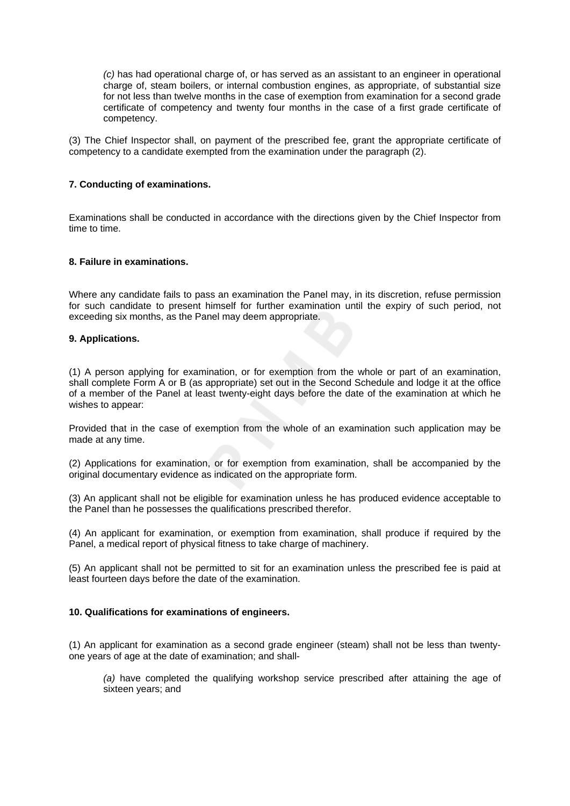*(c)* has had operational charge of, or has served as an assistant to an engineer in operational charge of, steam boilers, or internal combustion engines, as appropriate, of substantial size for not less than twelve months in the case of exemption from examination for a second grade certificate of competency and twenty four months in the case of a first grade certificate of competency.

(3) The Chief Inspector shall, on payment of the prescribed fee, grant the appropriate certificate of competency to a candidate exempted from the examination under the paragraph (2).

## **7. Conducting of examinations.**

Examinations shall be conducted in accordance with the directions given by the Chief Inspector from time to time.

#### **8. Failure in examinations.**

Where any candidate fails to pass an examination the Panel may, in its discretion, refuse permission for such candidate to present himself for further examination until the expiry of such period, not exceeding six months, as the Panel may deem appropriate.

## **9. Applications.**

(1) A person applying for examination, or for exemption from the whole or part of an examination, shall complete Form A or B (as appropriate) set out in the Second Schedule and lodge it at the office of a member of the Panel at least twenty-eight days before the date of the examination at which he wishes to appear:

Provided that in the case of exemption from the whole of an examination such application may be made at any time.

(2) Applications for examination, or for exemption from examination, shall be accompanied by the original documentary evidence as indicated on the appropriate form.

(3) An applicant shall not be eligible for examination unless he has produced evidence acceptable to the Panel than he possesses the qualifications prescribed therefor.

(4) An applicant for examination, or exemption from examination, shall produce if required by the Panel, a medical report of physical fitness to take charge of machinery.

(5) An applicant shall not be permitted to sit for an examination unless the prescribed fee is paid at least fourteen days before the date of the examination.

#### **10. Qualifications for examinations of engineers.**

(1) An applicant for examination as a second grade engineer (steam) shall not be less than twentyone years of age at the date of examination; and shall-

*(a)* have completed the qualifying workshop service prescribed after attaining the age of sixteen years; and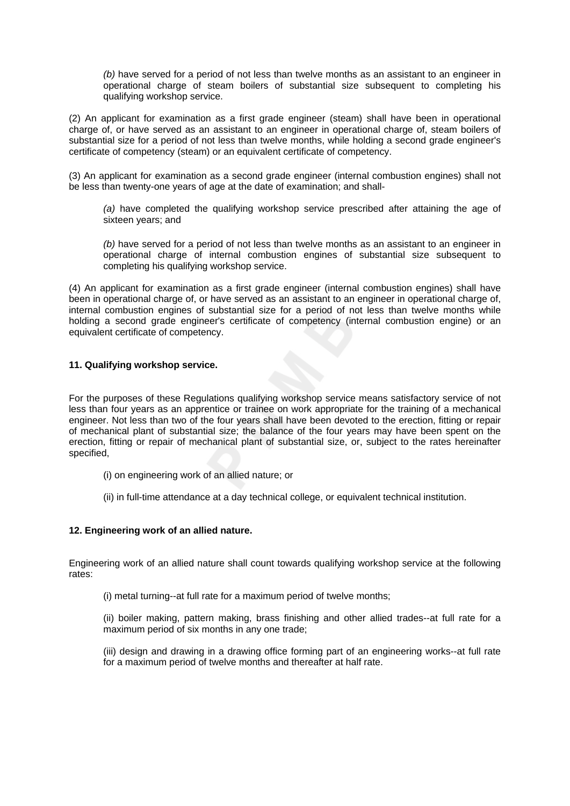*(b)* have served for a period of not less than twelve months as an assistant to an engineer in operational charge of steam boilers of substantial size subsequent to completing his qualifying workshop service.

(2) An applicant for examination as a first grade engineer (steam) shall have been in operational charge of, or have served as an assistant to an engineer in operational charge of, steam boilers of substantial size for a period of not less than twelve months, while holding a second grade engineer's certificate of competency (steam) or an equivalent certificate of competency.

(3) An applicant for examination as a second grade engineer (internal combustion engines) shall not be less than twenty-one years of age at the date of examination; and shall-

*(a)* have completed the qualifying workshop service prescribed after attaining the age of sixteen years; and

*(b)* have served for a period of not less than twelve months as an assistant to an engineer in operational charge of internal combustion engines of substantial size subsequent to completing his qualifying workshop service.

(4) An applicant for examination as a first grade engineer (internal combustion engines) shall have been in operational charge of, or have served as an assistant to an engineer in operational charge of, internal combustion engines of substantial size for a period of not less than twelve months while holding a second grade engineer's certificate of competency (internal combustion engine) or an equivalent certificate of competency.

## **11. Qualifying workshop service.**

For the purposes of these Regulations qualifying workshop service means satisfactory service of not less than four years as an apprentice or trainee on work appropriate for the training of a mechanical engineer. Not less than two of the four years shall have been devoted to the erection, fitting or repair of mechanical plant of substantial size; the balance of the four years may have been spent on the erection, fitting or repair of mechanical plant of substantial size, or, subject to the rates hereinafter specified,

- (i) on engineering work of an allied nature; or
- (ii) in full-time attendance at a day technical college, or equivalent technical institution.

### **12. Engineering work of an allied nature.**

Engineering work of an allied nature shall count towards qualifying workshop service at the following rates:

(i) metal turning--at full rate for a maximum period of twelve months;

(ii) boiler making, pattern making, brass finishing and other allied trades--at full rate for a maximum period of six months in any one trade;

(iii) design and drawing in a drawing office forming part of an engineering works--at full rate for a maximum period of twelve months and thereafter at half rate.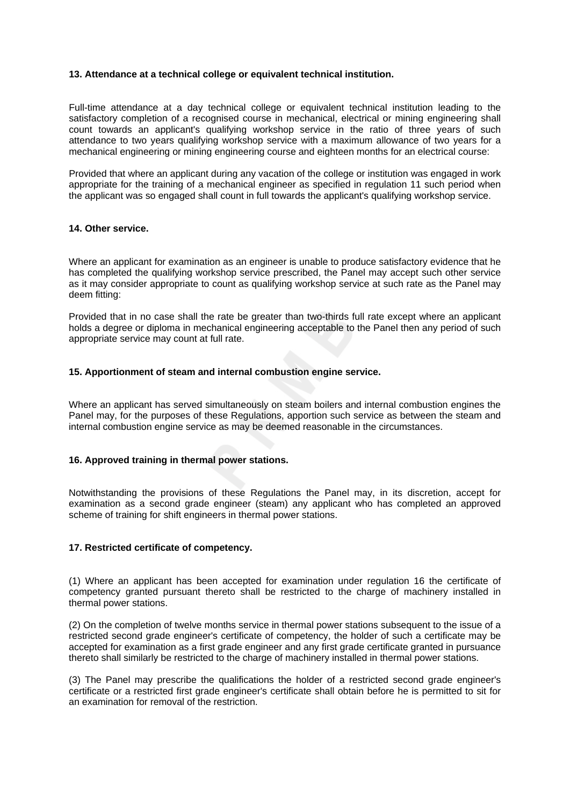## **13. Attendance at a technical college or equivalent technical institution.**

Full-time attendance at a day technical college or equivalent technical institution leading to the satisfactory completion of a recognised course in mechanical, electrical or mining engineering shall count towards an applicant's qualifying workshop service in the ratio of three years of such attendance to two years qualifying workshop service with a maximum allowance of two years for a mechanical engineering or mining engineering course and eighteen months for an electrical course:

Provided that where an applicant during any vacation of the college or institution was engaged in work appropriate for the training of a mechanical engineer as specified in regulation 11 such period when the applicant was so engaged shall count in full towards the applicant's qualifying workshop service.

## **14. Other service.**

Where an applicant for examination as an engineer is unable to produce satisfactory evidence that he has completed the qualifying workshop service prescribed, the Panel may accept such other service as it may consider appropriate to count as qualifying workshop service at such rate as the Panel may deem fitting:

Provided that in no case shall the rate be greater than two-thirds full rate except where an applicant holds a degree or diploma in mechanical engineering acceptable to the Panel then any period of such appropriate service may count at full rate.

## **15. Apportionment of steam and internal combustion engine service.**

Where an applicant has served simultaneously on steam boilers and internal combustion engines the Panel may, for the purposes of these Regulations, apportion such service as between the steam and internal combustion engine service as may be deemed reasonable in the circumstances.

#### **16. Approved training in thermal power stations.**

Notwithstanding the provisions of these Regulations the Panel may, in its discretion, accept for examination as a second grade engineer (steam) any applicant who has completed an approved scheme of training for shift engineers in thermal power stations.

#### **17. Restricted certificate of competency.**

(1) Where an applicant has been accepted for examination under regulation 16 the certificate of competency granted pursuant thereto shall be restricted to the charge of machinery installed in thermal power stations.

(2) On the completion of twelve months service in thermal power stations subsequent to the issue of a restricted second grade engineer's certificate of competency, the holder of such a certificate may be accepted for examination as a first grade engineer and any first grade certificate granted in pursuance thereto shall similarly be restricted to the charge of machinery installed in thermal power stations.

(3) The Panel may prescribe the qualifications the holder of a restricted second grade engineer's certificate or a restricted first grade engineer's certificate shall obtain before he is permitted to sit for an examination for removal of the restriction.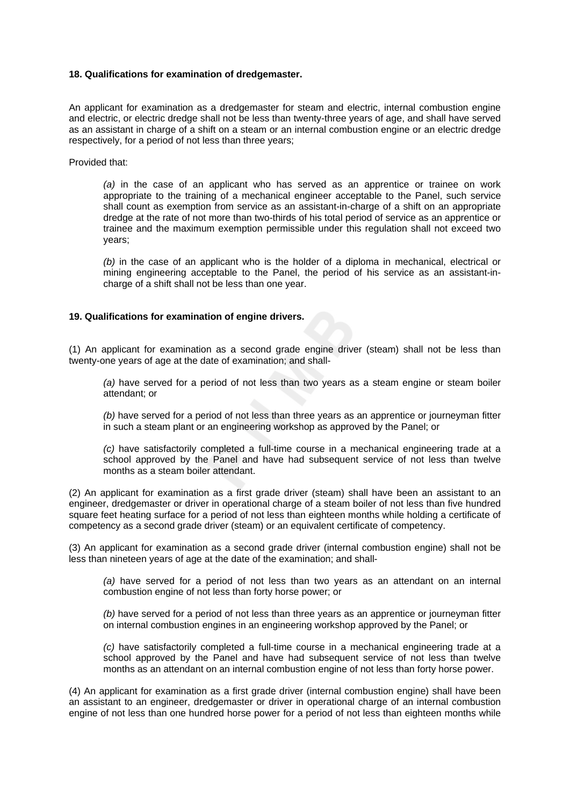### **18. Qualifications for examination of dredgemaster.**

An applicant for examination as a dredgemaster for steam and electric, internal combustion engine and electric, or electric dredge shall not be less than twenty-three years of age, and shall have served as an assistant in charge of a shift on a steam or an internal combustion engine or an electric dredge respectively, for a period of not less than three years;

Provided that:

*(a)* in the case of an applicant who has served as an apprentice or trainee on work appropriate to the training of a mechanical engineer acceptable to the Panel, such service shall count as exemption from service as an assistant-in-charge of a shift on an appropriate dredge at the rate of not more than two-thirds of his total period of service as an apprentice or trainee and the maximum exemption permissible under this regulation shall not exceed two years;

*(b)* in the case of an applicant who is the holder of a diploma in mechanical, electrical or mining engineering acceptable to the Panel, the period of his service as an assistant-incharge of a shift shall not be less than one year.

#### **19. Qualifications for examination of engine drivers.**

(1) An applicant for examination as a second grade engine driver (steam) shall not be less than twenty-one years of age at the date of examination; and shall-

*(a)* have served for a period of not less than two years as a steam engine or steam boiler attendant; or

*(b)* have served for a period of not less than three years as an apprentice or journeyman fitter in such a steam plant or an engineering workshop as approved by the Panel; or

*(c)* have satisfactorily completed a full-time course in a mechanical engineering trade at a school approved by the Panel and have had subsequent service of not less than twelve months as a steam boiler attendant.

(2) An applicant for examination as a first grade driver (steam) shall have been an assistant to an engineer, dredgemaster or driver in operational charge of a steam boiler of not less than five hundred square feet heating surface for a period of not less than eighteen months while holding a certificate of competency as a second grade driver (steam) or an equivalent certificate of competency.

(3) An applicant for examination as a second grade driver (internal combustion engine) shall not be less than nineteen years of age at the date of the examination; and shall-

*(a)* have served for a period of not less than two years as an attendant on an internal combustion engine of not less than forty horse power; or

*(b)* have served for a period of not less than three years as an apprentice or journeyman fitter on internal combustion engines in an engineering workshop approved by the Panel; or

*(c)* have satisfactorily completed a full-time course in a mechanical engineering trade at a school approved by the Panel and have had subsequent service of not less than twelve months as an attendant on an internal combustion engine of not less than forty horse power.

(4) An applicant for examination as a first grade driver (internal combustion engine) shall have been an assistant to an engineer, dredgemaster or driver in operational charge of an internal combustion engine of not less than one hundred horse power for a period of not less than eighteen months while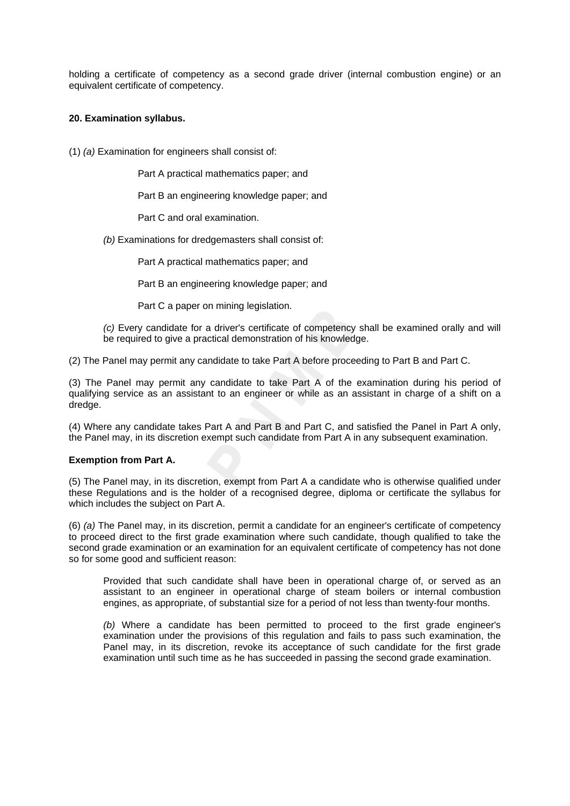holding a certificate of competency as a second grade driver (internal combustion engine) or an equivalent certificate of competency.

## **20. Examination syllabus.**

(1) *(a)* Examination for engineers shall consist of:

Part A practical mathematics paper; and

Part B an engineering knowledge paper; and

Part C and oral examination.

*(b)* Examinations for dredgemasters shall consist of:

Part A practical mathematics paper; and

Part B an engineering knowledge paper; and

Part C a paper on mining legislation.

*(c)* Every candidate for a driver's certificate of competency shall be examined orally and will be required to give a practical demonstration of his knowledge.

(2) The Panel may permit any candidate to take Part A before proceeding to Part B and Part C.

(3) The Panel may permit any candidate to take Part A of the examination during his period of qualifying service as an assistant to an engineer or while as an assistant in charge of a shift on a dredge.

(4) Where any candidate takes Part A and Part B and Part C, and satisfied the Panel in Part A only, the Panel may, in its discretion exempt such candidate from Part A in any subsequent examination.

#### **Exemption from Part A.**

(5) The Panel may, in its discretion, exempt from Part A a candidate who is otherwise qualified under these Regulations and is the holder of a recognised degree, diploma or certificate the syllabus for which includes the subject on Part A.

(6) *(a)* The Panel may, in its discretion, permit a candidate for an engineer's certificate of competency to proceed direct to the first grade examination where such candidate, though qualified to take the second grade examination or an examination for an equivalent certificate of competency has not done so for some good and sufficient reason:

Provided that such candidate shall have been in operational charge of, or served as an assistant to an engineer in operational charge of steam boilers or internal combustion engines, as appropriate, of substantial size for a period of not less than twenty-four months.

*(b)* Where a candidate has been permitted to proceed to the first grade engineer's examination under the provisions of this regulation and fails to pass such examination, the Panel may, in its discretion, revoke its acceptance of such candidate for the first grade examination until such time as he has succeeded in passing the second grade examination.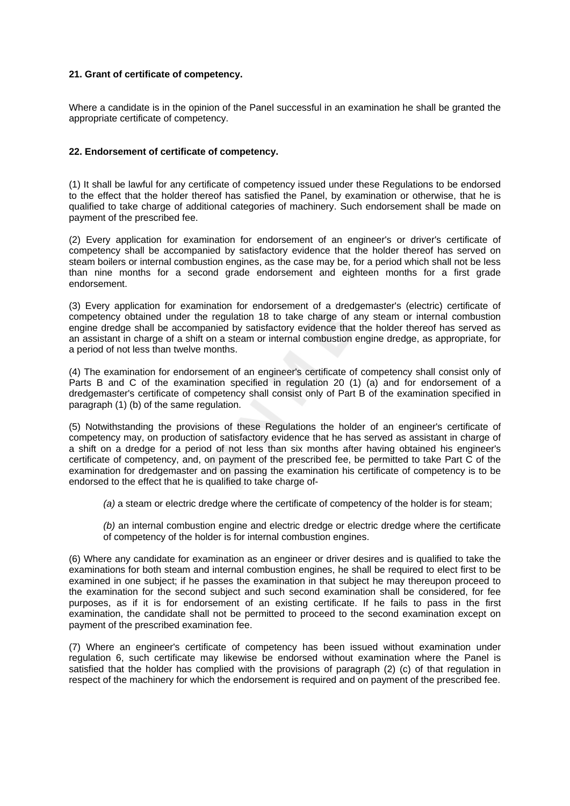## **21. Grant of certificate of competency.**

Where a candidate is in the opinion of the Panel successful in an examination he shall be granted the appropriate certificate of competency.

## **22. Endorsement of certificate of competency.**

(1) It shall be lawful for any certificate of competency issued under these Regulations to be endorsed to the effect that the holder thereof has satisfied the Panel, by examination or otherwise, that he is qualified to take charge of additional categories of machinery. Such endorsement shall be made on payment of the prescribed fee.

(2) Every application for examination for endorsement of an engineer's or driver's certificate of competency shall be accompanied by satisfactory evidence that the holder thereof has served on steam boilers or internal combustion engines, as the case may be, for a period which shall not be less than nine months for a second grade endorsement and eighteen months for a first grade endorsement.

(3) Every application for examination for endorsement of a dredgemaster's (electric) certificate of competency obtained under the regulation 18 to take charge of any steam or internal combustion engine dredge shall be accompanied by satisfactory evidence that the holder thereof has served as an assistant in charge of a shift on a steam or internal combustion engine dredge, as appropriate, for a period of not less than twelve months.

(4) The examination for endorsement of an engineer's certificate of competency shall consist only of Parts B and C of the examination specified in regulation 20 (1) (a) and for endorsement of a dredgemaster's certificate of competency shall consist only of Part B of the examination specified in paragraph (1) (b) of the same regulation.

(5) Notwithstanding the provisions of these Regulations the holder of an engineer's certificate of competency may, on production of satisfactory evidence that he has served as assistant in charge of a shift on a dredge for a period of not less than six months after having obtained his engineer's certificate of competency, and, on payment of the prescribed fee, be permitted to take Part C of the examination for dredgemaster and on passing the examination his certificate of competency is to be endorsed to the effect that he is qualified to take charge of-

*(a)* a steam or electric dredge where the certificate of competency of the holder is for steam;

*(b)* an internal combustion engine and electric dredge or electric dredge where the certificate of competency of the holder is for internal combustion engines.

(6) Where any candidate for examination as an engineer or driver desires and is qualified to take the examinations for both steam and internal combustion engines, he shall be required to elect first to be examined in one subject; if he passes the examination in that subject he may thereupon proceed to the examination for the second subject and such second examination shall be considered, for fee purposes, as if it is for endorsement of an existing certificate. If he fails to pass in the first examination, the candidate shall not be permitted to proceed to the second examination except on payment of the prescribed examination fee.

(7) Where an engineer's certificate of competency has been issued without examination under regulation 6, such certificate may likewise be endorsed without examination where the Panel is satisfied that the holder has complied with the provisions of paragraph (2) (c) of that regulation in respect of the machinery for which the endorsement is required and on payment of the prescribed fee.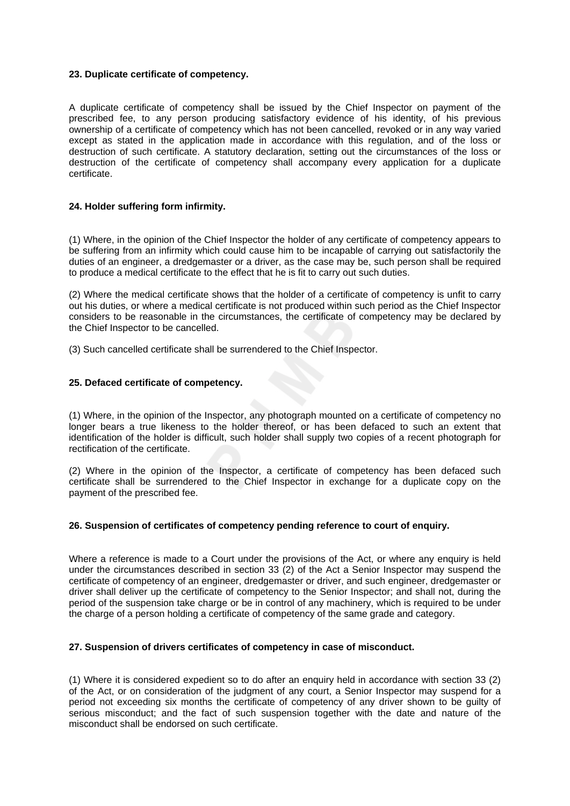### **23. Duplicate certificate of competency.**

A duplicate certificate of competency shall be issued by the Chief Inspector on payment of the prescribed fee, to any person producing satisfactory evidence of his identity, of his previous ownership of a certificate of competency which has not been cancelled, revoked or in any way varied except as stated in the application made in accordance with this regulation, and of the loss or destruction of such certificate. A statutory declaration, setting out the circumstances of the loss or destruction of the certificate of competency shall accompany every application for a duplicate certificate.

## **24. Holder suffering form infirmity.**

(1) Where, in the opinion of the Chief Inspector the holder of any certificate of competency appears to be suffering from an infirmity which could cause him to be incapable of carrying out satisfactorily the duties of an engineer, a dredgemaster or a driver, as the case may be, such person shall be required to produce a medical certificate to the effect that he is fit to carry out such duties.

(2) Where the medical certificate shows that the holder of a certificate of competency is unfit to carry out his duties, or where a medical certificate is not produced within such period as the Chief Inspector considers to be reasonable in the circumstances, the certificate of competency may be declared by the Chief Inspector to be cancelled.

(3) Such cancelled certificate shall be surrendered to the Chief Inspector.

## **25. Defaced certificate of competency.**

(1) Where, in the opinion of the Inspector, any photograph mounted on a certificate of competency no longer bears a true likeness to the holder thereof, or has been defaced to such an extent that identification of the holder is difficult, such holder shall supply two copies of a recent photograph for rectification of the certificate.

(2) Where in the opinion of the Inspector, a certificate of competency has been defaced such certificate shall be surrendered to the Chief Inspector in exchange for a duplicate copy on the payment of the prescribed fee.

#### **26. Suspension of certificates of competency pending reference to court of enquiry.**

Where a reference is made to a Court under the provisions of the Act, or where any enquiry is held under the circumstances described in section 33 (2) of the Act a Senior Inspector may suspend the certificate of competency of an engineer, dredgemaster or driver, and such engineer, dredgemaster or driver shall deliver up the certificate of competency to the Senior Inspector; and shall not, during the period of the suspension take charge or be in control of any machinery, which is required to be under the charge of a person holding a certificate of competency of the same grade and category.

#### **27. Suspension of drivers certificates of competency in case of misconduct.**

(1) Where it is considered expedient so to do after an enquiry held in accordance with section 33 (2) of the Act, or on consideration of the judgment of any court, a Senior Inspector may suspend for a period not exceeding six months the certificate of competency of any driver shown to be guilty of serious misconduct; and the fact of such suspension together with the date and nature of the misconduct shall be endorsed on such certificate.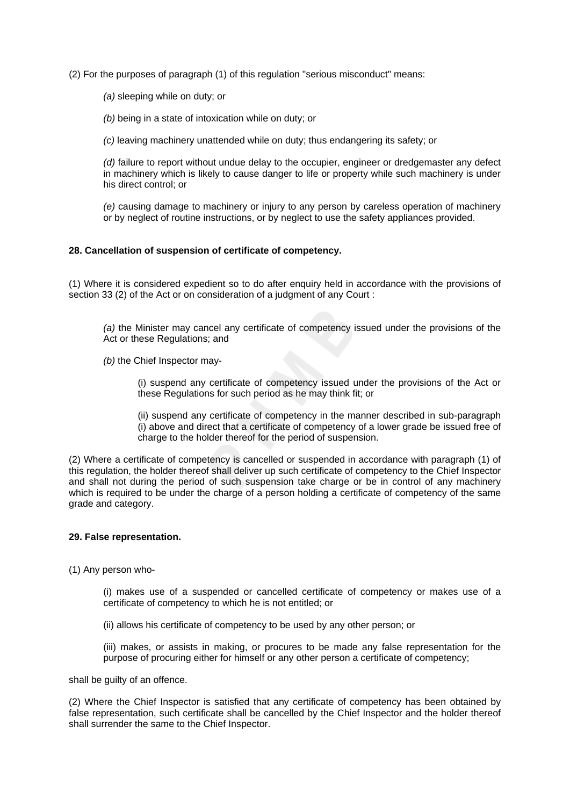(2) For the purposes of paragraph (1) of this regulation "serious misconduct" means:

*(a)* sleeping while on duty; or

*(b)* being in a state of intoxication while on duty; or

*(c)* leaving machinery unattended while on duty; thus endangering its safety; or

*(d)* failure to report without undue delay to the occupier, engineer or dredgemaster any defect in machinery which is likely to cause danger to life or property while such machinery is under his direct control; or

*(e)* causing damage to machinery or injury to any person by careless operation of machinery or by neglect of routine instructions, or by neglect to use the safety appliances provided.

#### **28. Cancellation of suspension of certificate of competency.**

(1) Where it is considered expedient so to do after enquiry held in accordance with the provisions of section 33 (2) of the Act or on consideration of a judgment of any Court :

*(a)* the Minister may cancel any certificate of competency issued under the provisions of the Act or these Regulations; and

*(b)* the Chief Inspector may-

(i) suspend any certificate of competency issued under the provisions of the Act or these Regulations for such period as he may think fit; or

(ii) suspend any certificate of competency in the manner described in sub-paragraph (i) above and direct that a certificate of competency of a lower grade be issued free of charge to the holder thereof for the period of suspension.

(2) Where a certificate of competency is cancelled or suspended in accordance with paragraph (1) of this regulation, the holder thereof shall deliver up such certificate of competency to the Chief Inspector and shall not during the period of such suspension take charge or be in control of any machinery which is required to be under the charge of a person holding a certificate of competency of the same grade and category.

#### **29. False representation.**

(1) Any person who-

(i) makes use of a suspended or cancelled certificate of competency or makes use of a certificate of competency to which he is not entitled; or

(ii) allows his certificate of competency to be used by any other person; or

(iii) makes, or assists in making, or procures to be made any false representation for the purpose of procuring either for himself or any other person a certificate of competency;

shall be guilty of an offence.

(2) Where the Chief Inspector is satisfied that any certificate of competency has been obtained by false representation, such certificate shall be cancelled by the Chief Inspector and the holder thereof shall surrender the same to the Chief Inspector.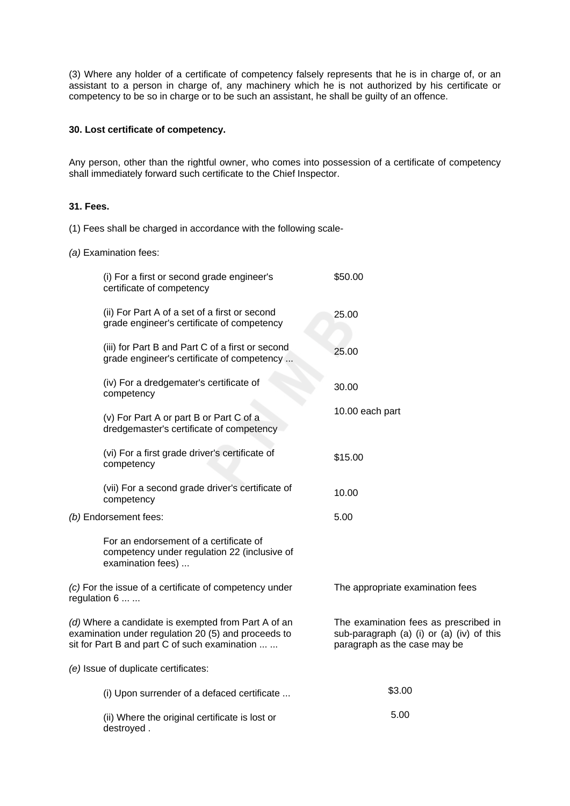(3) Where any holder of a certificate of competency falsely represents that he is in charge of, or an assistant to a person in charge of, any machinery which he is not authorized by his certificate or competency to be so in charge or to be such an assistant, he shall be guilty of an offence.

### **30. Lost certificate of competency.**

Any person, other than the rightful owner, who comes into possession of a certificate of competency shall immediately forward such certificate to the Chief Inspector.

## **31. Fees.**

(1) Fees shall be charged in accordance with the following scale-

*(a)* Examination fees:

| (i) For a first or second grade engineer's<br>certificate of competency                                                                                     | \$50.00                                                                                                            |  |  |  |  |  |
|-------------------------------------------------------------------------------------------------------------------------------------------------------------|--------------------------------------------------------------------------------------------------------------------|--|--|--|--|--|
| (ii) For Part A of a set of a first or second<br>grade engineer's certificate of competency                                                                 | 25.00                                                                                                              |  |  |  |  |  |
| (iii) for Part B and Part C of a first or second<br>grade engineer's certificate of competency                                                              | 25.00                                                                                                              |  |  |  |  |  |
| (iv) For a dredgemater's certificate of<br>competency                                                                                                       | 30.00                                                                                                              |  |  |  |  |  |
| (v) For Part A or part B or Part C of a<br>dredgemaster's certificate of competency                                                                         | 10.00 each part                                                                                                    |  |  |  |  |  |
| (vi) For a first grade driver's certificate of<br>competency                                                                                                | \$15.00                                                                                                            |  |  |  |  |  |
| (vii) For a second grade driver's certificate of<br>competency                                                                                              | 10.00                                                                                                              |  |  |  |  |  |
| (b) Endorsement fees:                                                                                                                                       | 5.00                                                                                                               |  |  |  |  |  |
| For an endorsement of a certificate of<br>competency under regulation 22 (inclusive of<br>examination fees)                                                 |                                                                                                                    |  |  |  |  |  |
| (c) For the issue of a certificate of competency under<br>regulation 6                                                                                      | The appropriate examination fees                                                                                   |  |  |  |  |  |
| (d) Where a candidate is exempted from Part A of an<br>examination under regulation 20 (5) and proceeds to<br>sit for Part B and part C of such examination | The examination fees as prescribed in<br>sub-paragraph (a) (i) or (a) (iv) of this<br>paragraph as the case may be |  |  |  |  |  |
| (e) Issue of duplicate certificates:                                                                                                                        |                                                                                                                    |  |  |  |  |  |
| (i) Upon surrender of a defaced certificate                                                                                                                 | \$3.00                                                                                                             |  |  |  |  |  |
| (ii) Where the original certificate is lost or<br>destroyed.                                                                                                | 5.00                                                                                                               |  |  |  |  |  |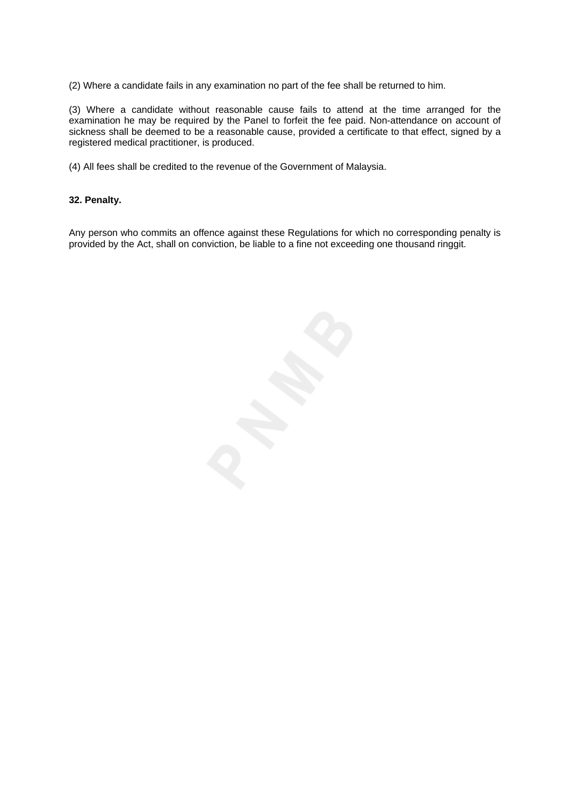(2) Where a candidate fails in any examination no part of the fee shall be returned to him.

(3) Where a candidate without reasonable cause fails to attend at the time arranged for the examination he may be required by the Panel to forfeit the fee paid. Non-attendance on account of sickness shall be deemed to be a reasonable cause, provided a certificate to that effect, signed by a registered medical practitioner, is produced.

(4) All fees shall be credited to the revenue of the Government of Malaysia.

## **32. Penalty.**

Any person who commits an offence against these Regulations for which no corresponding penalty is provided by the Act, shall on conviction, be liable to a fine not exceeding one thousand ringgit.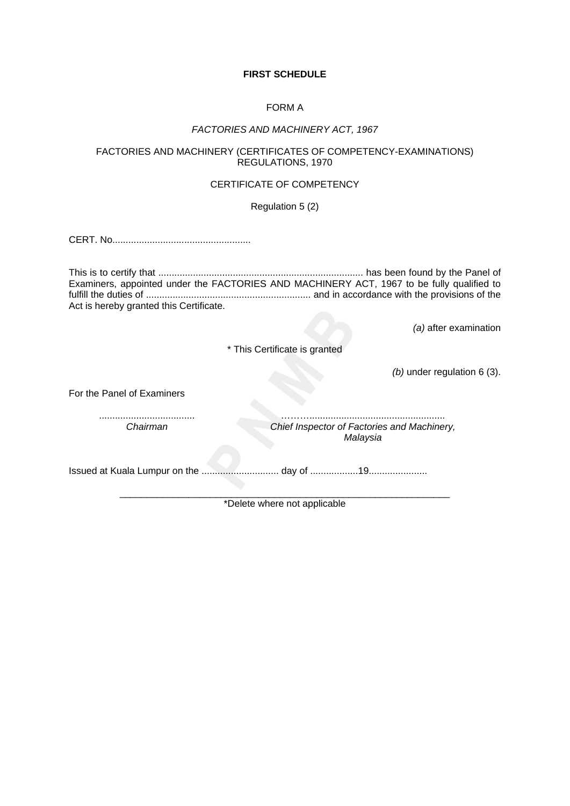# **FIRST SCHEDULE**

## FORM A

## *FACTORIES AND MACHINERY ACT, 1967*

## FACTORIES AND MACHINERY (CERTIFICATES OF COMPETENCY-EXAMINATIONS) REGULATIONS, 1970

# CERTIFICATE OF COMPETENCY

Regulation 5 (2)

CERT. No....................................................

This is to certify that ............................................................................. has been found by the Panel of Examiners, appointed under the FACTORIES AND MACHINERY ACT, 1967 to be fully qualified to fulfill the duties of .............................................................. and in accordance with the provisions of the Act is hereby granted this Certificate.

*(a)* after examination

\* This Certificate is granted

*(b)* under regulation 6 (3).

For the Panel of Examiners

.................................... *Chairman*

………................................................... *Chief Inspector of Factories and Machinery, Malaysia*

Issued at Kuala Lumpur on the ............................. day of ..................19......................

\_\_\_\_\_\_\_\_\_\_\_\_\_\_\_\_\_\_\_\_\_\_\_\_\_\_\_\_\_\_\_\_\_\_\_\_\_\_\_\_\_\_\_\_\_\_\_\_\_\_\_\_\_\_\_\_\_\_\_\_\_\_ \*Delete where not applicable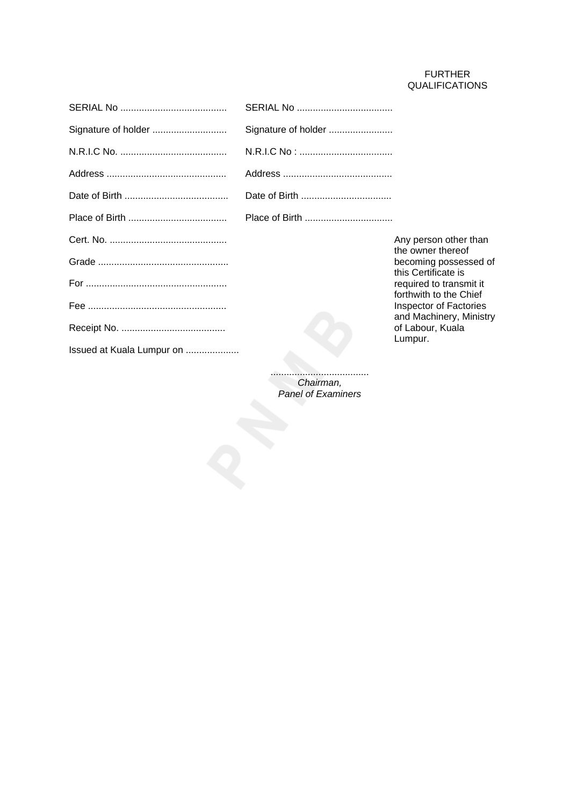# FURTHER QUALIFICATIONS

| Signature of holder       | Signature of holder |                                                   |
|---------------------------|---------------------|---------------------------------------------------|
|                           |                     |                                                   |
|                           |                     |                                                   |
|                           |                     |                                                   |
|                           | Place of Birth      |                                                   |
|                           |                     | Any person other than<br>the owner thereof        |
|                           |                     | becoming possessed of<br>this Certificate is      |
|                           |                     | required to transmit it<br>forthwith to the Chief |
|                           |                     | Inspector of Factories<br>and Machinery, Ministry |
|                           |                     | of Labour, Kuala<br>Lumpur.                       |
| Issued at Kuala Lumpur on |                     |                                                   |
|                           |                     |                                                   |

..................................... *Chairman, Panel of Examiners*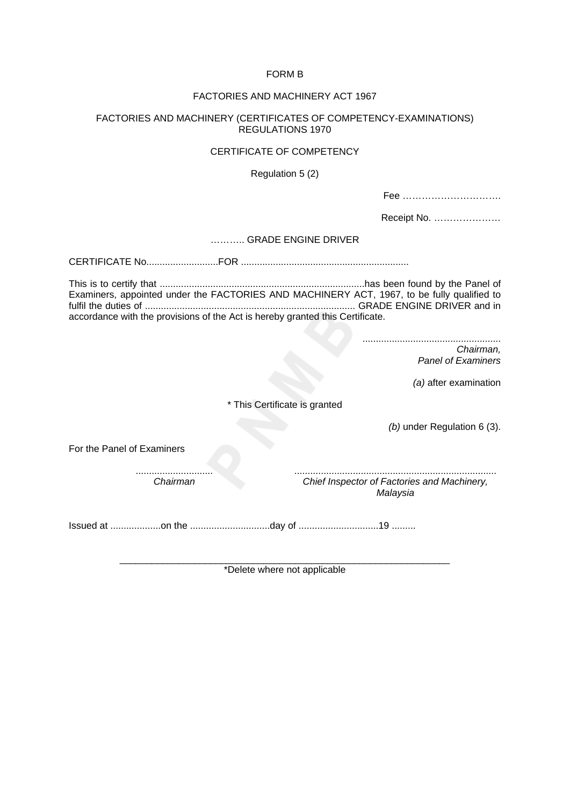## FORM B

## FACTORIES AND MACHINERY ACT 1967

### FACTORIES AND MACHINERY (CERTIFICATES OF COMPETENCY-EXAMINATIONS) REGULATIONS 1970

## CERTIFICATE OF COMPETENCY

## Regulation 5 (2)

|--|--|--|--|--|--|--|--|--|--|--|--|--|--|--|--|--|--|--|--|--|--|--|--|--|--|--|--|--|--|--|

Receipt No. …………………

#### ……….. GRADE ENGINE DRIVER

CERTIFICATE No...........................FOR ...............................................................

This is to certify that .............................................................................has been found by the Panel of Examiners, appointed under the FACTORIES AND MACHINERY ACT, 1967, to be fully qualified to fulfil the duties of ............................................................................... GRADE ENGINE DRIVER and in accordance with the provisions of the Act is hereby granted this Certificate.

> .................................................... *Chairman, Panel of Examiners*

> > *(a)* after examination

\* This Certificate is granted

*(b)* under Regulation 6 (3).

For the Panel of Examiners

............................. *Chairman* 

............................................................................ *Chief Inspector of Factories and Machinery,* 

*Malaysia*

Issued at ...................on the ..............................day of ..............................19 .........

\_\_\_\_\_\_\_\_\_\_\_\_\_\_\_\_\_\_\_\_\_\_\_\_\_\_\_\_\_\_\_\_\_\_\_\_\_\_\_\_\_\_\_\_\_\_\_\_\_\_\_\_\_\_\_\_\_\_\_\_\_\_ \*Delete where not applicable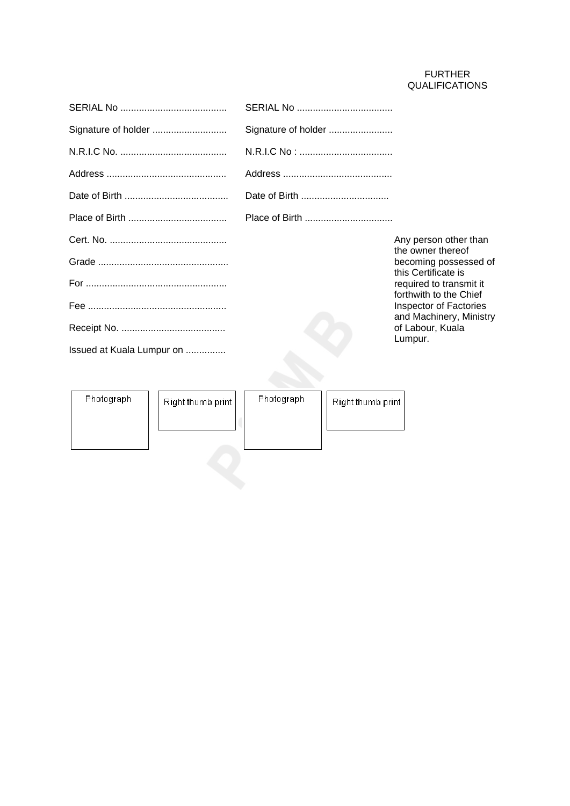# FURTHER QUALIFICATIONS

|                           | Signature of holder |                                                   |
|---------------------------|---------------------|---------------------------------------------------|
|                           |                     |                                                   |
|                           |                     |                                                   |
|                           |                     |                                                   |
|                           |                     |                                                   |
|                           |                     | Any person other than<br>the owner thereof        |
|                           |                     | becoming possessed of<br>this Certificate is      |
|                           |                     | required to transmit it<br>forthwith to the Chief |
|                           |                     | Inspector of Factories<br>and Machinery, Ministry |
|                           |                     | of Labour, Kuala<br>Lumpur.                       |
| Issued at Kuala Lumpur on |                     |                                                   |

Photograph Photograph Right thumb print Right thumb print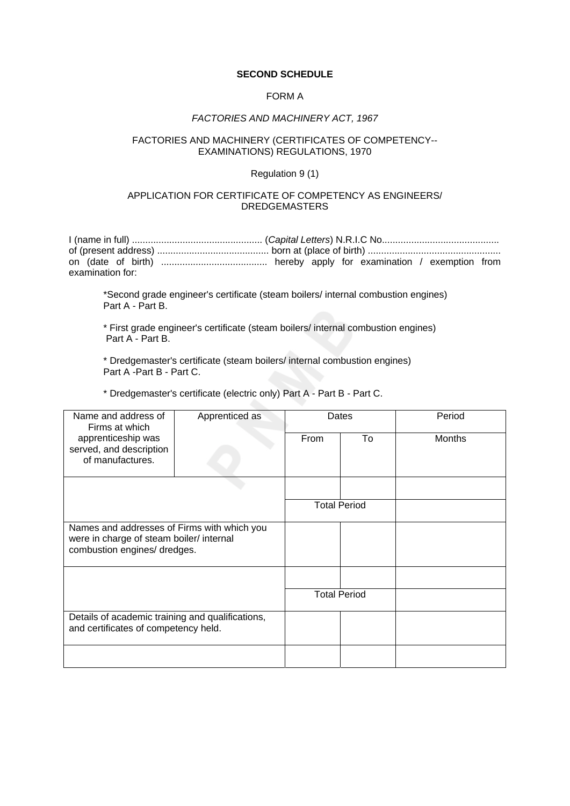## **SECOND SCHEDULE**

### FORM A

#### *FACTORIES AND MACHINERY ACT, 1967*

## FACTORIES AND MACHINERY (CERTIFICATES OF COMPETENCY-- EXAMINATIONS) REGULATIONS, 1970

### Regulation 9 (1)

## APPLICATION FOR CERTIFICATE OF COMPETENCY AS ENGINEERS/ DREDGEMASTERS

I (name in full) ................................................. (*Capital Letters*) N.R.I.C No............................................ of (present address) .......................................... born at (place of birth) .................................................. on (date of birth) ........................................ hereby apply for examination / exemption from examination for:

\*Second grade engineer's certificate (steam boilers/ internal combustion engines) Part A - Part B.

\* First grade engineer's certificate (steam boilers/ internal combustion engines) Part A - Part B.

\* Dredgemaster's certificate (steam boilers/ internal combustion engines) Part A -Part B - Part C.

\* Dredgemaster's certificate (electric only) Part A - Part B - Part C.

| Name and address of<br>Firms at which                                                    | Apprenticed as | Dates |                     | Period        |
|------------------------------------------------------------------------------------------|----------------|-------|---------------------|---------------|
| apprenticeship was                                                                       |                | From  | To                  | <b>Months</b> |
| served, and description                                                                  |                |       |                     |               |
| of manufactures.                                                                         |                |       |                     |               |
|                                                                                          |                |       |                     |               |
|                                                                                          |                |       |                     |               |
|                                                                                          |                |       | <b>Total Period</b> |               |
| Names and addresses of Firms with which you                                              |                |       |                     |               |
| were in charge of steam boiler/ internal                                                 |                |       |                     |               |
| combustion engines/ dredges.                                                             |                |       |                     |               |
|                                                                                          |                |       |                     |               |
|                                                                                          |                |       | <b>Total Period</b> |               |
|                                                                                          |                |       |                     |               |
| Details of academic training and qualifications,<br>and certificates of competency held. |                |       |                     |               |
|                                                                                          |                |       |                     |               |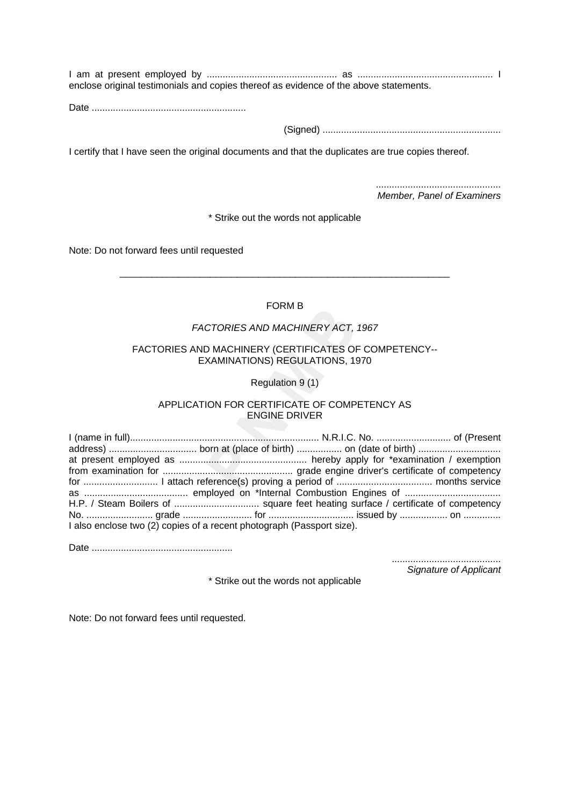I am at present employed by ................................................. as ................................................... I enclose original testimonials and copies thereof as evidence of the above statements.

Date ..........................................................

(Signed) ...................................................................

I certify that I have seen the original documents and that the duplicates are true copies thereof.

............................................... *Member, Panel of Examiners*

\* Strike out the words not applicable

Note: Do not forward fees until requested

# FORM B

\_\_\_\_\_\_\_\_\_\_\_\_\_\_\_\_\_\_\_\_\_\_\_\_\_\_\_\_\_\_\_\_\_\_\_\_\_\_\_\_\_\_\_\_\_\_\_\_\_\_\_\_\_\_\_\_\_\_\_\_\_\_

## *FACTORIES AND MACHINERY ACT, 1967*

## FACTORIES AND MACHINERY (CERTIFICATES OF COMPETENCY-- EXAMINATIONS) REGULATIONS, 1970

Regulation 9 (1)

## APPLICATION FOR CERTIFICATE OF COMPETENCY AS ENGINE DRIVER

I (name in full)....................................................................... N.R.I.C. No. ............................ of (Present address) ................................. born at (place of birth) ................. on (date of birth) ............................... at present employed as ................................................ hereby apply for \*examination / exemption from examination for ................................................. grade engine driver's certificate of competency for ............................ I attach reference(s) proving a period of .................................... months service as ....................................... employed on \*Internal Combustion Engines of .................................... H.P. / Steam Boilers of ................................ square feet heating surface / certificate of competency No. ......................... grade .......................... for ................................ issued by .................. on .............. I also enclose two (2) copies of a recent photograph (Passport size).

Date .....................................................

......................................... *Signature of Applicant*

\* Strike out the words not applicable

Note: Do not forward fees until requested.